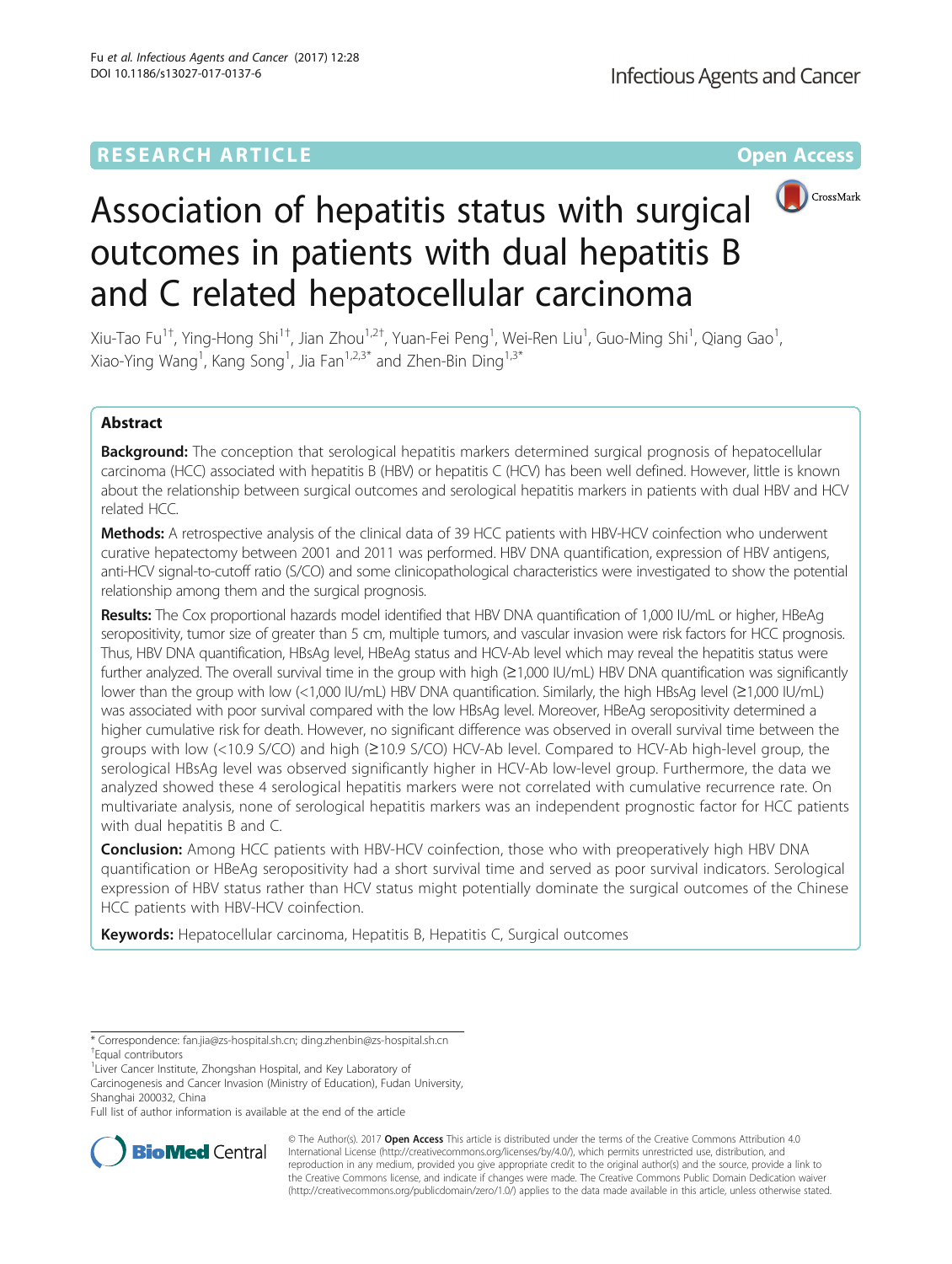# **RESEARCH ARTICLE Example 2014 12:30 The Contract of Contract ACCESS**



# Association of hepatitis status with surgical outcomes in patients with dual hepatitis B and C related hepatocellular carcinoma

Xiu-Tao Fu<sup>1†</sup>, Ying-Hong Shi<sup>1†</sup>, Jian Zhou<sup>1,2†</sup>, Yuan-Fei Peng<sup>1</sup>, Wei-Ren Liu<sup>1</sup>, Guo-Ming Shi<sup>1</sup>, Qiang Gao<sup>1</sup> , Xiao-Ying Wang<sup>1</sup>, Kang Song<sup>1</sup>, Jia Fan<sup>1,2,3\*</sup> and Zhen-Bin Ding<sup>1,3\*</sup>

# Abstract

Background: The conception that serological hepatitis markers determined surgical prognosis of hepatocellular carcinoma (HCC) associated with hepatitis B (HBV) or hepatitis C (HCV) has been well defined. However, little is known about the relationship between surgical outcomes and serological hepatitis markers in patients with dual HBV and HCV related HCC.

Methods: A retrospective analysis of the clinical data of 39 HCC patients with HBV-HCV coinfection who underwent curative hepatectomy between 2001 and 2011 was performed. HBV DNA quantification, expression of HBV antigens, anti-HCV signal-to-cutoff ratio (S/CO) and some clinicopathological characteristics were investigated to show the potential relationship among them and the surgical prognosis.

Results: The Cox proportional hazards model identified that HBV DNA quantification of 1,000 IU/mL or higher, HBeAg seropositivity, tumor size of greater than 5 cm, multiple tumors, and vascular invasion were risk factors for HCC prognosis. Thus, HBV DNA quantification, HBsAg level, HBeAg status and HCV-Ab level which may reveal the hepatitis status were further analyzed. The overall survival time in the group with high (≥1,000 IU/mL) HBV DNA quantification was significantly lower than the group with low (<1,000 IU/mL) HBV DNA quantification. Similarly, the high HBsAg level (≥1,000 IU/mL) was associated with poor survival compared with the low HBsAg level. Moreover, HBeAg seropositivity determined a higher cumulative risk for death. However, no significant difference was observed in overall survival time between the groups with low (<10.9 S/CO) and high (≥10.9 S/CO) HCV-Ab level. Compared to HCV-Ab high-level group, the serological HBsAg level was observed significantly higher in HCV-Ab low-level group. Furthermore, the data we analyzed showed these 4 serological hepatitis markers were not correlated with cumulative recurrence rate. On multivariate analysis, none of serological hepatitis markers was an independent prognostic factor for HCC patients with dual hepatitis B and C.

**Conclusion:** Among HCC patients with HBV-HCV coinfection, those who with preoperatively high HBV DNA quantification or HBeAg seropositivity had a short survival time and served as poor survival indicators. Serological expression of HBV status rather than HCV status might potentially dominate the surgical outcomes of the Chinese HCC patients with HBV-HCV coinfection.

Keywords: Hepatocellular carcinoma, Hepatitis B, Hepatitis C, Surgical outcomes

<sup>1</sup> Liver Cancer Institute, Zhongshan Hospital, and Key Laboratory of

Carcinogenesis and Cancer Invasion (Ministry of Education), Fudan University, Shanghai 200032, China

Full list of author information is available at the end of the article



© The Author(s). 2017 **Open Access** This article is distributed under the terms of the Creative Commons Attribution 4.0 International License [\(http://creativecommons.org/licenses/by/4.0/](http://creativecommons.org/licenses/by/4.0/)), which permits unrestricted use, distribution, and reproduction in any medium, provided you give appropriate credit to the original author(s) and the source, provide a link to the Creative Commons license, and indicate if changes were made. The Creative Commons Public Domain Dedication waiver [\(http://creativecommons.org/publicdomain/zero/1.0/](http://creativecommons.org/publicdomain/zero/1.0/)) applies to the data made available in this article, unless otherwise stated.

<sup>\*</sup> Correspondence: [fan.jia@zs-hospital.sh.cn;](mailto:fan.jia@zs-hospital.sh.cn) [ding.zhenbin@zs-hospital.sh.cn](mailto:ding.zhenbin@zs-hospital.sh.cn) †

<sup>&</sup>lt;sup>T</sup>Equal contributors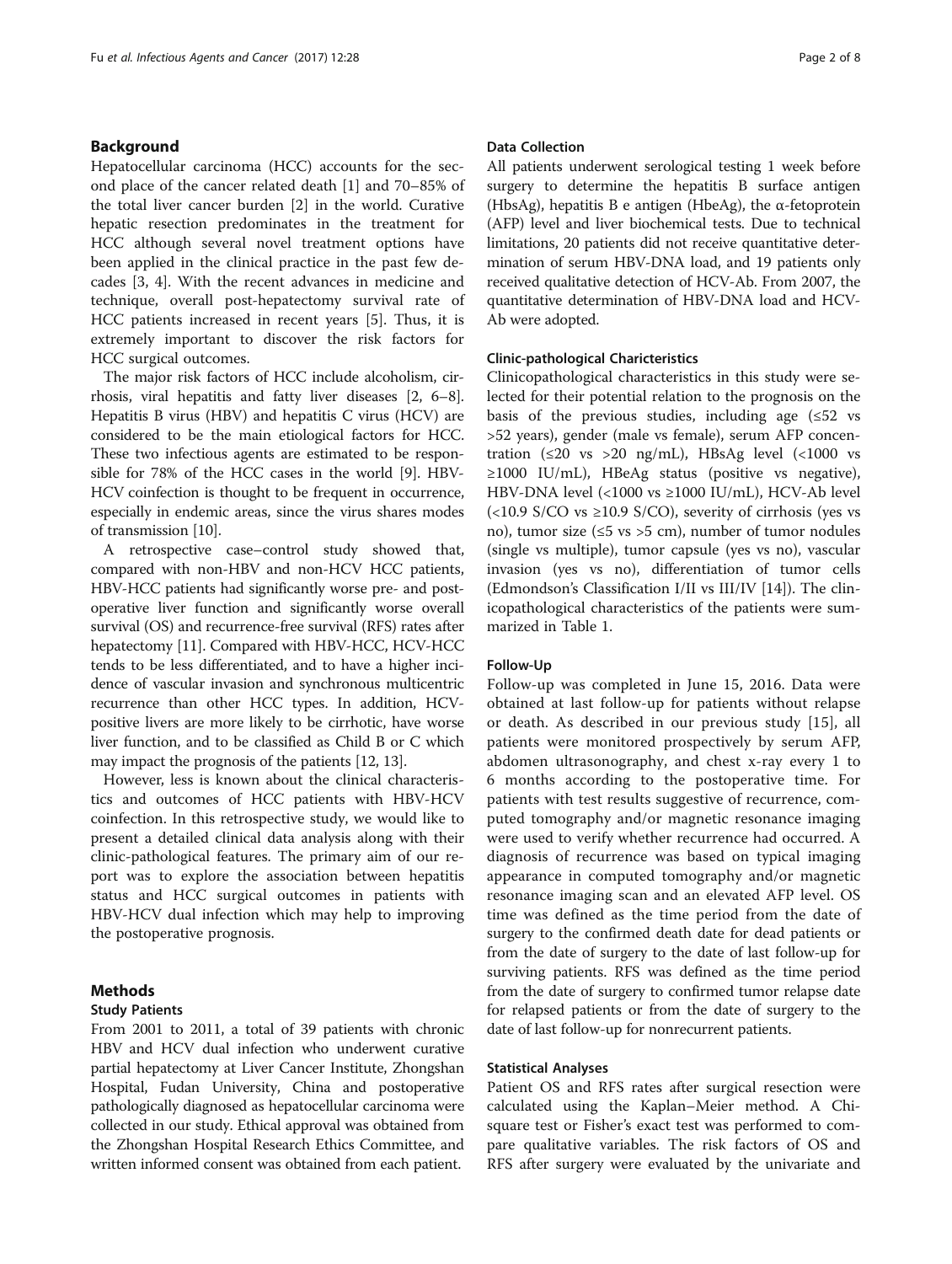# Background

Hepatocellular carcinoma (HCC) accounts for the second place of the cancer related death [\[1](#page-7-0)] and 70–85% of the total liver cancer burden [\[2\]](#page-7-0) in the world. Curative hepatic resection predominates in the treatment for HCC although several novel treatment options have been applied in the clinical practice in the past few decades [[3, 4\]](#page-7-0). With the recent advances in medicine and technique, overall post-hepatectomy survival rate of HCC patients increased in recent years [[5\]](#page-7-0). Thus, it is extremely important to discover the risk factors for HCC surgical outcomes.

The major risk factors of HCC include alcoholism, cirrhosis, viral hepatitis and fatty liver diseases [\[2](#page-7-0), [6](#page-7-0)–[8](#page-7-0)]. Hepatitis B virus (HBV) and hepatitis C virus (HCV) are considered to be the main etiological factors for HCC. These two infectious agents are estimated to be responsible for 78% of the HCC cases in the world [\[9](#page-7-0)]. HBV-HCV coinfection is thought to be frequent in occurrence, especially in endemic areas, since the virus shares modes of transmission [[10](#page-7-0)].

A retrospective case–control study showed that, compared with non-HBV and non-HCV HCC patients, HBV-HCC patients had significantly worse pre- and postoperative liver function and significantly worse overall survival (OS) and recurrence-free survival (RFS) rates after hepatectomy [[11\]](#page-7-0). Compared with HBV-HCC, HCV-HCC tends to be less differentiated, and to have a higher incidence of vascular invasion and synchronous multicentric recurrence than other HCC types. In addition, HCVpositive livers are more likely to be cirrhotic, have worse liver function, and to be classified as Child B or C which may impact the prognosis of the patients [\[12](#page-7-0), [13](#page-7-0)].

However, less is known about the clinical characteristics and outcomes of HCC patients with HBV-HCV coinfection. In this retrospective study, we would like to present a detailed clinical data analysis along with their clinic-pathological features. The primary aim of our report was to explore the association between hepatitis status and HCC surgical outcomes in patients with HBV-HCV dual infection which may help to improving the postoperative prognosis.

# Methods

# Study Patients

From 2001 to 2011, a total of 39 patients with chronic HBV and HCV dual infection who underwent curative partial hepatectomy at Liver Cancer Institute, Zhongshan Hospital, Fudan University, China and postoperative pathologically diagnosed as hepatocellular carcinoma were collected in our study. Ethical approval was obtained from the Zhongshan Hospital Research Ethics Committee, and written informed consent was obtained from each patient.

# Data Collection

All patients underwent serological testing 1 week before surgery to determine the hepatitis B surface antigen (HbsAg), hepatitis B e antigen (HbeAg), the  $\alpha$ -fetoprotein (AFP) level and liver biochemical tests. Due to technical limitations, 20 patients did not receive quantitative determination of serum HBV-DNA load, and 19 patients only received qualitative detection of HCV-Ab. From 2007, the quantitative determination of HBV-DNA load and HCV-Ab were adopted.

# Clinic-pathological Charicteristics

Clinicopathological characteristics in this study were selected for their potential relation to the prognosis on the basis of the previous studies, including age  $(≤52$  vs >52 years), gender (male vs female), serum AFP concentration ( $\leq 20$  vs  $>20$  ng/mL), HBsAg level ( $< 1000$  vs ≥1000 IU/mL), HBeAg status (positive vs negative), HBV-DNA level (<1000 vs ≥1000 IU/mL), HCV-Ab level  $\left($  <10.9 S/CO vs  $\geq$ 10.9 S/CO), severity of cirrhosis (yes vs no), tumor size ( $\leq 5$  vs > 5 cm), number of tumor nodules (single vs multiple), tumor capsule (yes vs no), vascular invasion (yes vs no), differentiation of tumor cells (Edmondson's Classification I/II vs III/IV [[14](#page-7-0)]). The clinicopathological characteristics of the patients were summarized in Table [1](#page-2-0).

# Follow-Up

Follow-up was completed in June 15, 2016. Data were obtained at last follow-up for patients without relapse or death. As described in our previous study [[15\]](#page-7-0), all patients were monitored prospectively by serum AFP, abdomen ultrasonography, and chest x-ray every 1 to 6 months according to the postoperative time. For patients with test results suggestive of recurrence, computed tomography and/or magnetic resonance imaging were used to verify whether recurrence had occurred. A diagnosis of recurrence was based on typical imaging appearance in computed tomography and/or magnetic resonance imaging scan and an elevated AFP level. OS time was defined as the time period from the date of surgery to the confirmed death date for dead patients or from the date of surgery to the date of last follow-up for surviving patients. RFS was defined as the time period from the date of surgery to confirmed tumor relapse date for relapsed patients or from the date of surgery to the date of last follow-up for nonrecurrent patients.

# Statistical Analyses

Patient OS and RFS rates after surgical resection were calculated using the Kaplan–Meier method. A Chisquare test or Fisher's exact test was performed to compare qualitative variables. The risk factors of OS and RFS after surgery were evaluated by the univariate and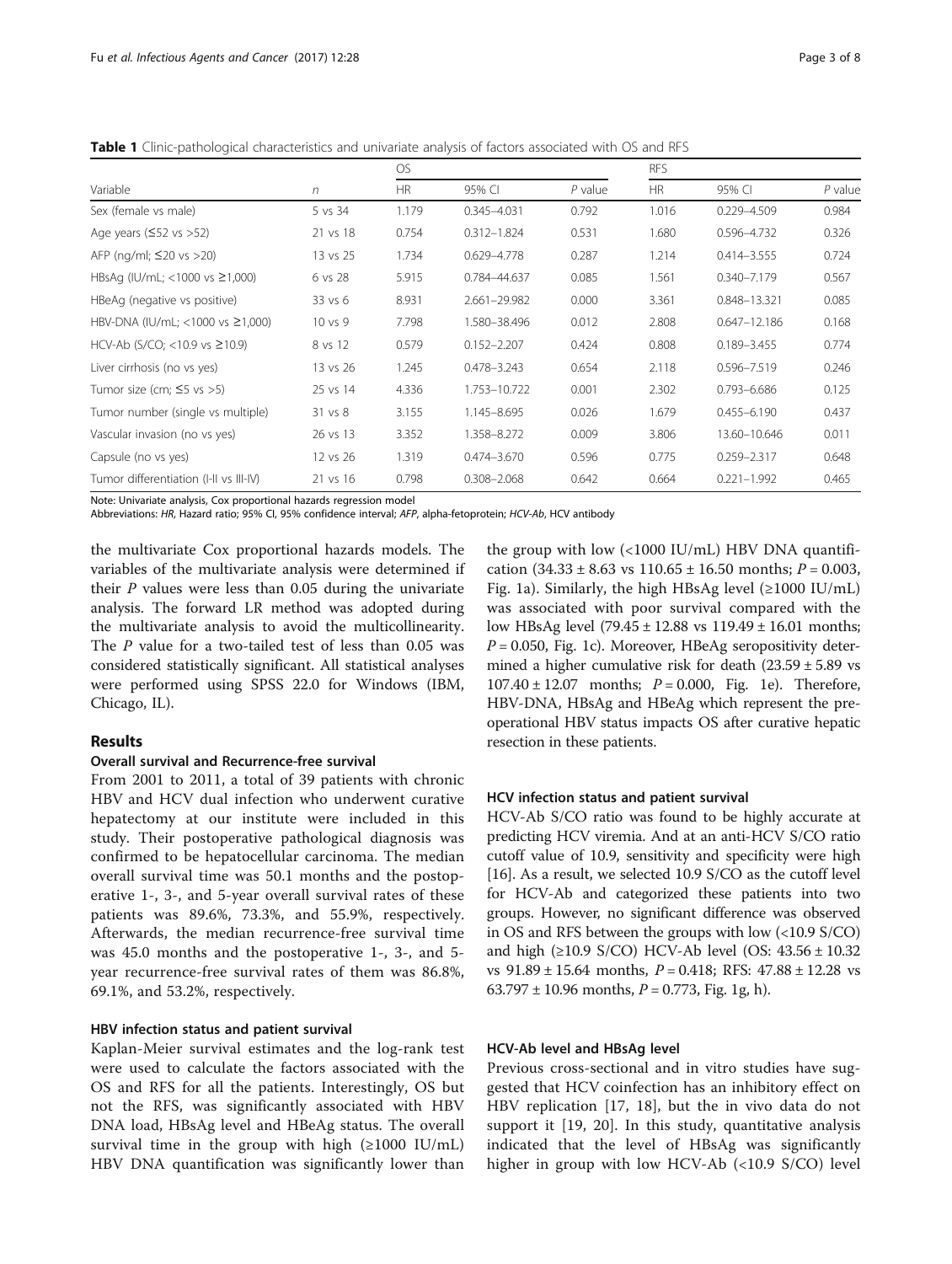<span id="page-2-0"></span>Table 1 Clinic-pathological characteristics and univariate analysis of factors associated with OS and RFS

| Variable                                  | n        | OS.       |                 |           | <b>RFS</b> |                  |           |
|-------------------------------------------|----------|-----------|-----------------|-----------|------------|------------------|-----------|
|                                           |          | <b>HR</b> | 95% CI          | $P$ value | <b>HR</b>  | 95% CI           | $P$ value |
| Sex (female vs male)                      | 5 vs 34  | 1.179     | 0.345-4.031     | 0.792     | 1.016      | 0.229-4.509      | 0.984     |
| Age years ( $\leq$ 52 vs >52)             | 21 vs 18 | 0.754     | $0.312 - 1.824$ | 0.531     | 1.680      | 0.596-4.732      | 0.326     |
| AFP (ng/ml; $\leq$ 20 vs > 20)            | 13 vs 25 | 1.734     | 0.629-4.778     | 0.287     | 1.214      | $0.414 - 3.555$  | 0.724     |
| HBsAg (IU/mL; $<$ 1000 vs $\geq$ 1,000)   | 6 vs 28  | 5.915     | 0.784-44.637    | 0.085     | 1.561      | $0.340 - 7.179$  | 0.567     |
| HBeAg (negative vs positive)              | 33 vs 6  | 8.931     | 2.661-29.982    | 0.000     | 3.361      | 0.848-13.321     | 0.085     |
| HBV-DNA (IU/mL; $<$ 1000 vs $\geq$ 1,000) | 10 vs 9  | 7.798     | 1.580-38.496    | 0.012     | 2.808      | $0.647 - 12.186$ | 0.168     |
| HCV-Ab (S/CO; <10.9 vs $\geq$ 10.9)       | 8 vs 12  | 0.579     | $0.152 - 2.207$ | 0.424     | 0.808      | $0.189 - 3.455$  | 0.774     |
| Liver cirrhosis (no vs yes)               | 13 vs 26 | 1.245     | $0.478 - 3.243$ | 0.654     | 2.118      | 0.596-7.519      | 0.246     |
| Tumor size (cm; $\leq$ 5 vs >5)           | 25 vs 14 | 4.336     | 1.753-10.722    | 0.001     | 2.302      | $0.793 - 6.686$  | 0.125     |
| Tumor number (single vs multiple)         | 31 vs 8  | 3.155     | 1.145-8.695     | 0.026     | 1.679      | $0.455 - 6.190$  | 0.437     |
| Vascular invasion (no vs yes)             | 26 vs 13 | 3.352     | 1.358-8.272     | 0.009     | 3.806      | 13.60-10.646     | 0.011     |
| Capsule (no vs yes)                       | 12 vs 26 | 1.319     | $0.474 - 3.670$ | 0.596     | 0.775      | $0.259 - 2.317$  | 0.648     |
| Tumor differentiation (I-II vs III-IV)    | 21 vs 16 | 0.798     | $0.308 - 2.068$ | 0.642     | 0.664      | $0.221 - 1.992$  | 0.465     |

Note: Univariate analysis, Cox proportional hazards regression model

Abbreviations: HR, Hazard ratio; 95% CI, 95% confidence interval; AFP, alpha-fetoprotein; HCV-Ab, HCV antibody

the multivariate Cox proportional hazards models. The variables of the multivariate analysis were determined if their P values were less than 0.05 during the univariate analysis. The forward LR method was adopted during the multivariate analysis to avoid the multicollinearity. The P value for a two-tailed test of less than 0.05 was considered statistically significant. All statistical analyses were performed using SPSS 22.0 for Windows (IBM, Chicago, IL).

# Results

### Overall survival and Recurrence-free survival

From 2001 to 2011, a total of 39 patients with chronic HBV and HCV dual infection who underwent curative hepatectomy at our institute were included in this study. Their postoperative pathological diagnosis was confirmed to be hepatocellular carcinoma. The median overall survival time was 50.1 months and the postoperative 1-, 3-, and 5-year overall survival rates of these patients was 89.6%, 73.3%, and 55.9%, respectively. Afterwards, the median recurrence-free survival time was 45.0 months and the postoperative 1-, 3-, and 5 year recurrence-free survival rates of them was 86.8%, 69.1%, and 53.2%, respectively.

### HBV infection status and patient survival

Kaplan-Meier survival estimates and the log-rank test were used to calculate the factors associated with the OS and RFS for all the patients. Interestingly, OS but not the RFS, was significantly associated with HBV DNA load, HBsAg level and HBeAg status. The overall survival time in the group with high  $(\geq 1000 \text{ IU/mL})$ HBV DNA quantification was significantly lower than

the group with low (<1000 IU/mL) HBV DNA quantification  $(34.33 \pm 8.63 \text{ vs } 110.65 \pm 16.50 \text{ months}; P = 0.003,$ Fig. [1a](#page-4-0)). Similarly, the high HBsAg level  $(\geq 1000 \text{ IU/mL})$ was associated with poor survival compared with the low HBsAg level (79.45 ± 12.88 vs 119.49 ± 16.01 months;  $P = 0.050$ , Fig. [1c](#page-4-0)). Moreover, HBeAg seropositivity determined a higher cumulative risk for death  $(23.59 \pm 5.89 \text{ vs } 10^{-12})$  $107.40 \pm 12.07$  months;  $P = 0.000$ , Fig. [1e\)](#page-4-0). Therefore, HBV-DNA, HBsAg and HBeAg which represent the preoperational HBV status impacts OS after curative hepatic resection in these patients.

### HCV infection status and patient survival

HCV-Ab S/CO ratio was found to be highly accurate at predicting HCV viremia. And at an anti-HCV S/CO ratio cutoff value of 10.9, sensitivity and specificity were high [[16](#page-7-0)]. As a result, we selected 10.9 S/CO as the cutoff level for HCV-Ab and categorized these patients into two groups. However, no significant difference was observed in OS and RFS between the groups with low (<10.9 S/CO) and high (≥10.9 S/CO) HCV-Ab level (OS:  $43.56 \pm 10.32$ vs  $91.89 \pm 15.64$  months,  $P = 0.418$ ; RFS:  $47.88 \pm 12.28$  vs 63.797  $\pm$  10.96 months, *P* = 0.773, Fig. [1g, h](#page-4-0)).

### HCV-Ab level and HBsAg level

Previous cross-sectional and in vitro studies have suggested that HCV coinfection has an inhibitory effect on HBV replication [[17, 18](#page-7-0)], but the in vivo data do not support it [[19, 20](#page-7-0)]. In this study, quantitative analysis indicated that the level of HBsAg was significantly higher in group with low HCV-Ab (<10.9 S/CO) level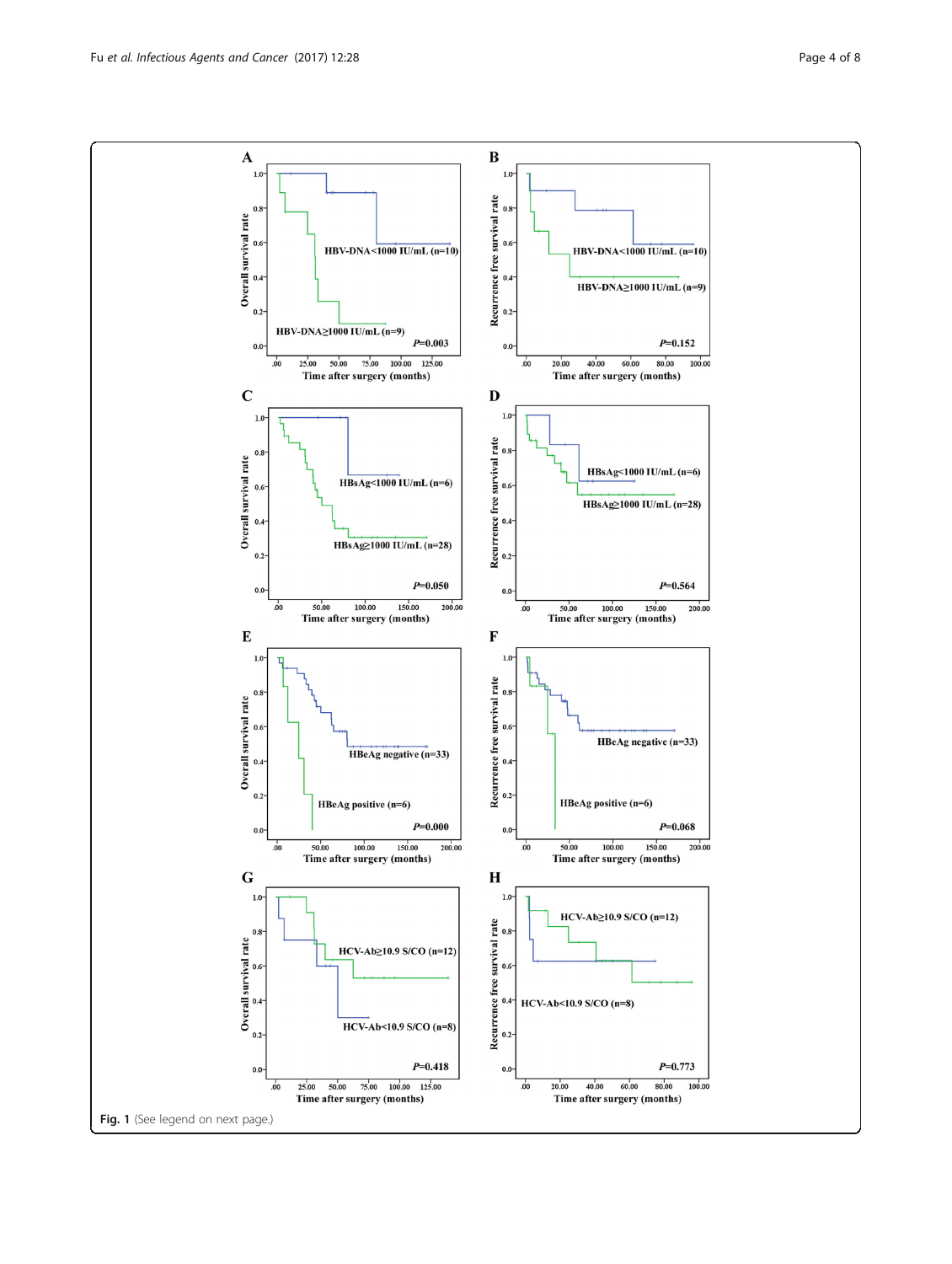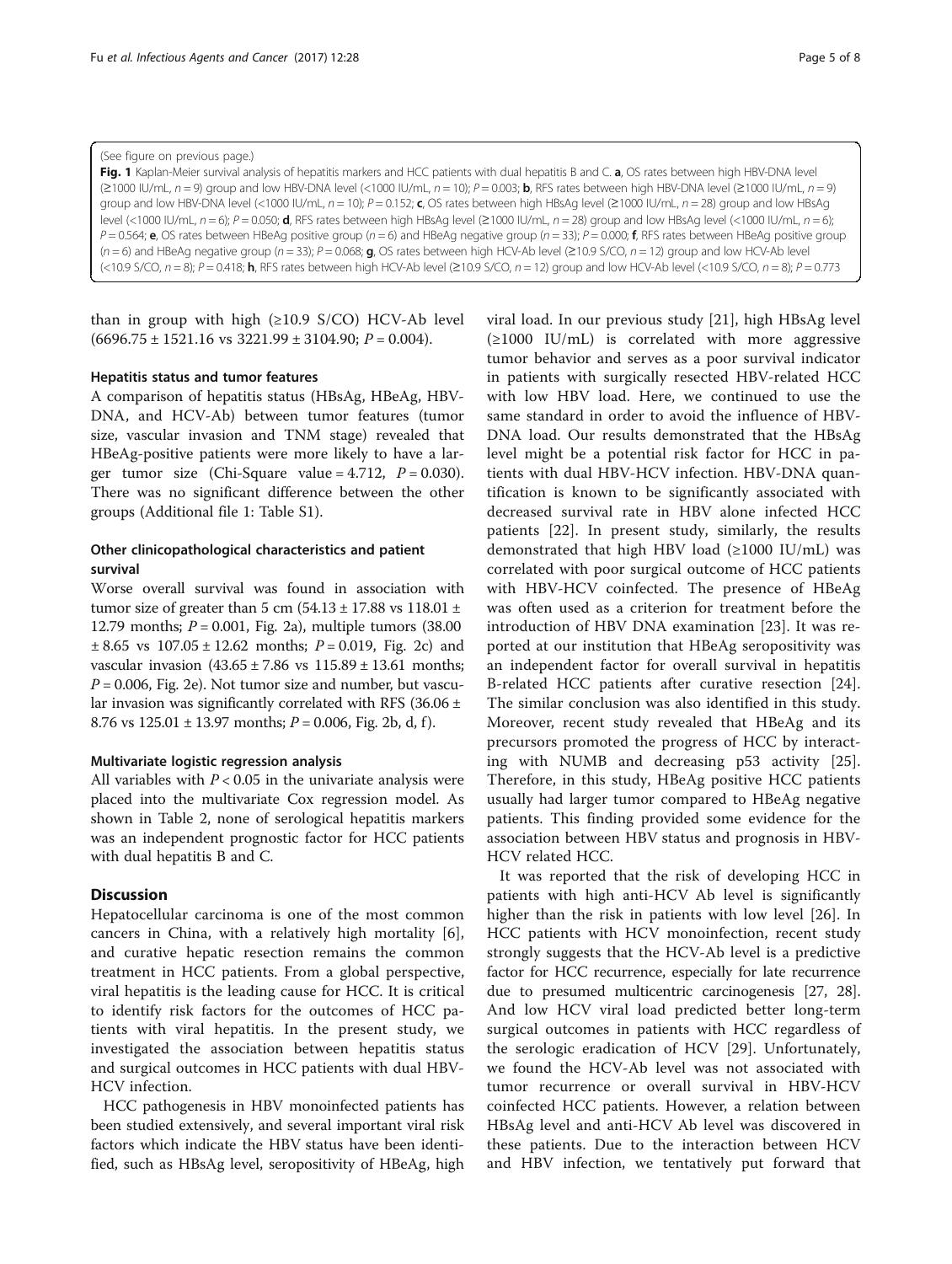#### <span id="page-4-0"></span>(See figure on previous page.)

Fig. 1 Kaplan-Meier survival analysis of hepatitis markers and HCC patients with dual hepatitis B and C. a, OS rates between high HBV-DNA level ( $\geq$ 1000 IU/mL,  $n = 9$ ) group and low HBV-DNA level (<1000 IU/mL,  $n = 10$ );  $P = 0.003$ ; **b**, RFS rates between high HBV-DNA level ( $\geq$ 1000 IU/mL,  $n = 9$ ) group and low HBV-DNA level (<1000 IU/mL,  $n = 10$ );  $P = 0.152$ ; c, OS rates between high HBsAg level (≥1000 IU/mL,  $n = 28$ ) group and low HBsAg level (<1000 IU/mL,  $n = 6$ ); P = 0.050; d, RFS rates between high HBsAg level (≥1000 IU/mL,  $n = 28$ ) group and low HBsAg level (<1000 IU/mL,  $n = 6$ );  $P = 0.564$ ; e, OS rates between HBeAg positive group (n = 6) and HBeAg negative group (n = 33);  $P = 0.000$ ; f, RFS rates between HBeAg positive group (n = 6) and HBeAg negative group (n = 33); P = 0.068; **g**, OS rates between high HCV-Ab level (≥10.9 S/CO, n = 12) group and low HCV-Ab level  $\langle$ <10.9 S/CO, n = 8); P = 0.418; h, RFS rates between high HCV-Ab level (≥10.9 S/CO, n = 12) group and low HCV-Ab level (<10.9 S/CO, n = 8); P = 0.773

than in group with high  $(\geq 10.9 \text{ S/CO})$  HCV-Ab level  $(6696.75 \pm 1521.16 \text{ vs } 3221.99 \pm 3104.90; P = 0.004).$ 

# Hepatitis status and tumor features

A comparison of hepatitis status (HBsAg, HBeAg, HBV-DNA, and HCV-Ab) between tumor features (tumor size, vascular invasion and TNM stage) revealed that HBeAg-positive patients were more likely to have a larger tumor size (Chi-Square value =  $4.712$ ,  $P = 0.030$ ). There was no significant difference between the other groups (Additional file [1:](#page-6-0) Table S1).

# Other clinicopathological characteristics and patient survival

Worse overall survival was found in association with tumor size of greater than 5 cm  $(54.13 \pm 17.88 \text{ vs } 118.01 \pm 17.88 \text{ vs } 118.01 \pm 17.88 \text{ vs } 118.01 \pm 17.88 \text{ vs } 118.01 \pm 17.88 \text{ vs } 118.01 \pm 17.88 \text{ vs } 118.01 \pm 17.88 \text{ vs } 118.01 \pm 17.88 \text{ vs } 118.01 \pm 17.88 \text{ vs } 118.01 \pm$ 12.79 months;  $P = 0.001$ , Fig. [2a](#page-6-0)), multiple tumors (38.00  $\pm 8.65$  vs  $107.05 \pm 12.62$  months;  $P = 0.019$ , Fig. [2c\)](#page-6-0) and vascular invasion  $(43.65 \pm 7.86 \text{ vs } 115.89 \pm 13.61 \text{ months};$  $P = 0.006$ , Fig. [2e\)](#page-6-0). Not tumor size and number, but vascular invasion was significantly correlated with RFS (36.06 ± 8.76 vs  $125.01 \pm 13.97$  months;  $P = 0.006$ , Fig. [2b, d, f](#page-6-0)).

# Multivariate logistic regression analysis

All variables with  $P < 0.05$  in the univariate analysis were placed into the multivariate Cox regression model. As shown in Table [2,](#page-6-0) none of serological hepatitis markers was an independent prognostic factor for HCC patients with dual hepatitis B and C.

# **Discussion**

Hepatocellular carcinoma is one of the most common cancers in China, with a relatively high mortality [[6](#page-7-0)], and curative hepatic resection remains the common treatment in HCC patients. From a global perspective, viral hepatitis is the leading cause for HCC. It is critical to identify risk factors for the outcomes of HCC patients with viral hepatitis. In the present study, we investigated the association between hepatitis status and surgical outcomes in HCC patients with dual HBV-HCV infection.

HCC pathogenesis in HBV monoinfected patients has been studied extensively, and several important viral risk factors which indicate the HBV status have been identified, such as HBsAg level, seropositivity of HBeAg, high viral load. In our previous study [[21\]](#page-7-0), high HBsAg level  $(\geq 1000 \text{ IU/mL})$  is correlated with more aggressive tumor behavior and serves as a poor survival indicator in patients with surgically resected HBV-related HCC with low HBV load. Here, we continued to use the same standard in order to avoid the influence of HBV-DNA load. Our results demonstrated that the HBsAg level might be a potential risk factor for HCC in patients with dual HBV-HCV infection. HBV-DNA quantification is known to be significantly associated with decreased survival rate in HBV alone infected HCC patients [[22\]](#page-7-0). In present study, similarly, the results demonstrated that high HBV load (≥1000 IU/mL) was correlated with poor surgical outcome of HCC patients with HBV-HCV coinfected. The presence of HBeAg was often used as a criterion for treatment before the introduction of HBV DNA examination [[23](#page-7-0)]. It was reported at our institution that HBeAg seropositivity was an independent factor for overall survival in hepatitis B-related HCC patients after curative resection [\[24](#page-7-0)]. The similar conclusion was also identified in this study. Moreover, recent study revealed that HBeAg and its precursors promoted the progress of HCC by interacting with NUMB and decreasing p53 activity [\[25](#page-7-0)]. Therefore, in this study, HBeAg positive HCC patients usually had larger tumor compared to HBeAg negative patients. This finding provided some evidence for the association between HBV status and prognosis in HBV-HCV related HCC.

It was reported that the risk of developing HCC in patients with high anti-HCV Ab level is significantly higher than the risk in patients with low level [\[26](#page-7-0)]. In HCC patients with HCV monoinfection, recent study strongly suggests that the HCV-Ab level is a predictive factor for HCC recurrence, especially for late recurrence due to presumed multicentric carcinogenesis [\[27, 28](#page-7-0)]. And low HCV viral load predicted better long-term surgical outcomes in patients with HCC regardless of the serologic eradication of HCV [[29\]](#page-7-0). Unfortunately, we found the HCV-Ab level was not associated with tumor recurrence or overall survival in HBV-HCV coinfected HCC patients. However, a relation between HBsAg level and anti-HCV Ab level was discovered in these patients. Due to the interaction between HCV and HBV infection, we tentatively put forward that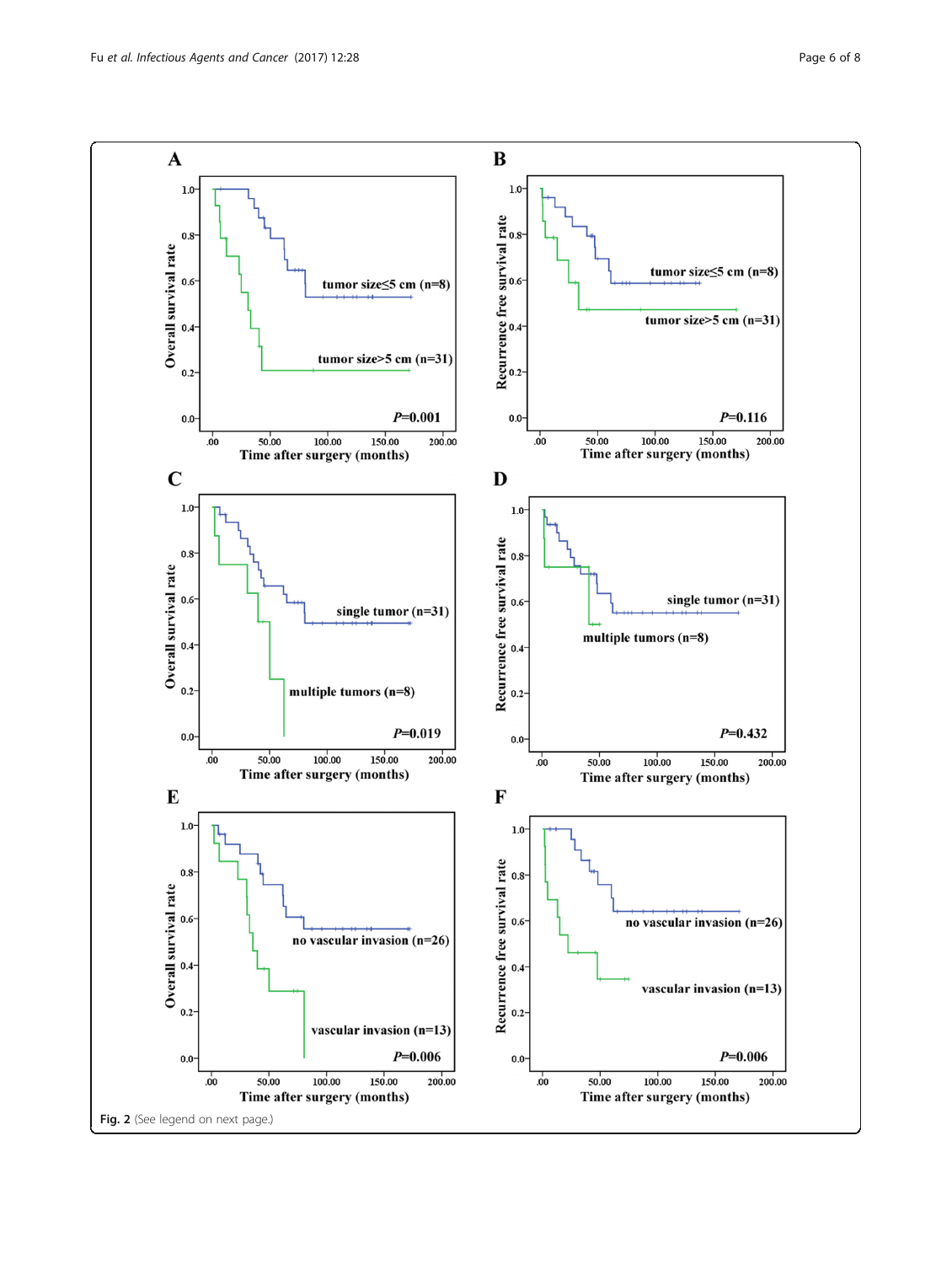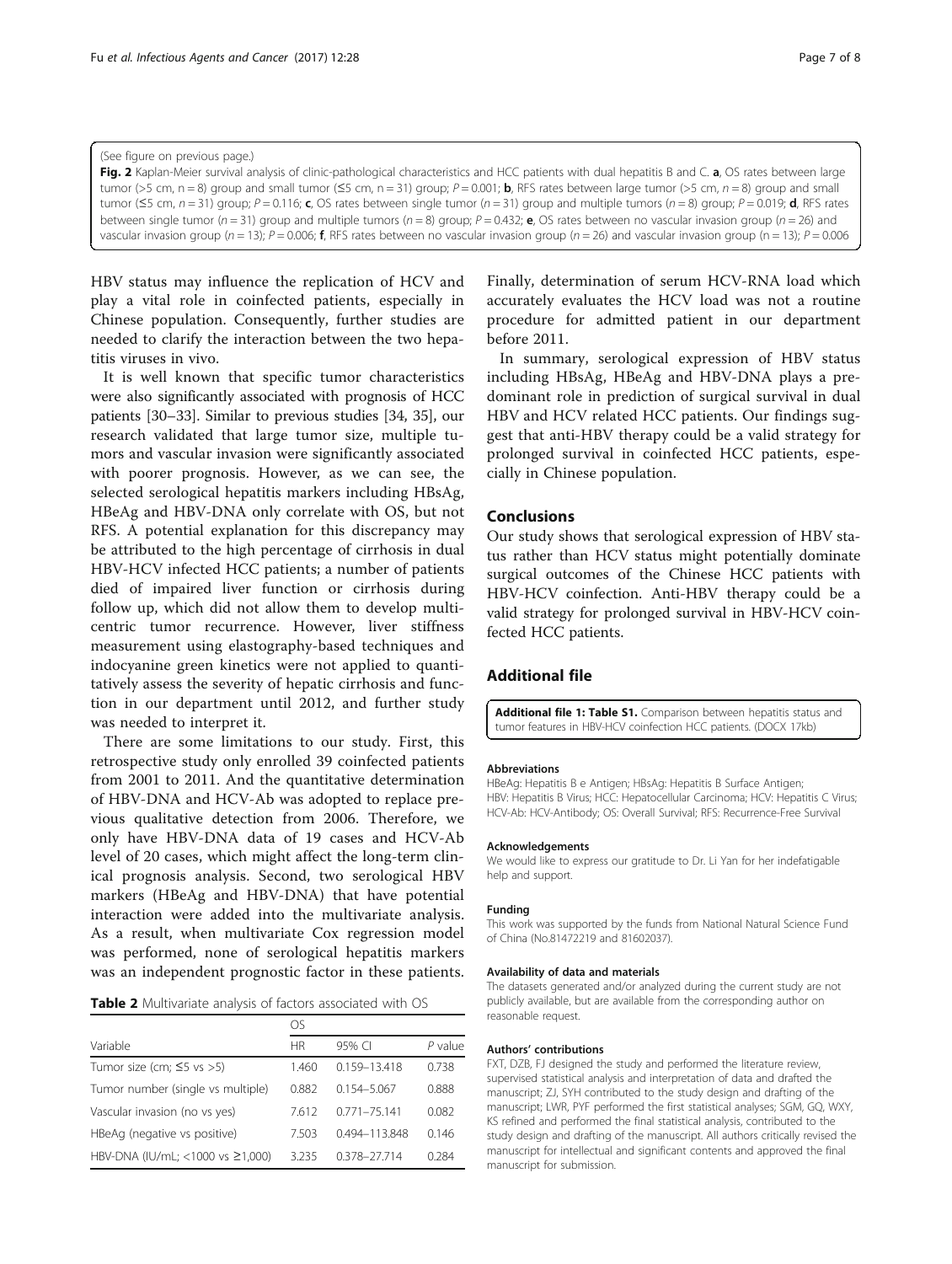<span id="page-6-0"></span>Fig. 2 Kaplan-Meier survival analysis of clinic-pathological characteristics and HCC patients with dual hepatitis B and C. a, OS rates between large tumor (>5 cm, n = 8) group and small tumor ( $\leq$ 5 cm, n = 31) group; P = 0.001; **b**, RFS rates between large tumor (>5 cm, n = 8) group and small tumor (≤5 cm,  $n = 31$ ) group;  $P = 0.116$ ; c, OS rates between single tumor ( $n = 31$ ) group and multiple tumors ( $n = 8$ ) group;  $P = 0.019$ ; d, RFS rates between single tumor ( $n = 31$ ) group and multiple tumors ( $n = 8$ ) group;  $P = 0.432$ ; e, OS rates between no vascular invasion group ( $n = 26$ ) and vascular invasion group (n = 13); P = 0.006; f, RFS rates between no vascular invasion group (n = 26) and vascular invasion group (n = 13); P = 0.006

HBV status may influence the replication of HCV and play a vital role in coinfected patients, especially in Chinese population. Consequently, further studies are needed to clarify the interaction between the two hepatitis viruses in vivo.

It is well known that specific tumor characteristics were also significantly associated with prognosis of HCC patients [[30](#page-7-0)–[33\]](#page-7-0). Similar to previous studies [\[34, 35](#page-7-0)], our research validated that large tumor size, multiple tumors and vascular invasion were significantly associated with poorer prognosis. However, as we can see, the selected serological hepatitis markers including HBsAg, HBeAg and HBV-DNA only correlate with OS, but not RFS. A potential explanation for this discrepancy may be attributed to the high percentage of cirrhosis in dual HBV-HCV infected HCC patients; a number of patients died of impaired liver function or cirrhosis during follow up, which did not allow them to develop multicentric tumor recurrence. However, liver stiffness measurement using elastography-based techniques and indocyanine green kinetics were not applied to quantitatively assess the severity of hepatic cirrhosis and function in our department until 2012, and further study was needed to interpret it.

There are some limitations to our study. First, this retrospective study only enrolled 39 coinfected patients from 2001 to 2011. And the quantitative determination of HBV-DNA and HCV-Ab was adopted to replace previous qualitative detection from 2006. Therefore, we only have HBV-DNA data of 19 cases and HCV-Ab level of 20 cases, which might affect the long-term clinical prognosis analysis. Second, two serological HBV markers (HBeAg and HBV-DNA) that have potential interaction were added into the multivariate analysis. As a result, when multivariate Cox regression model was performed, none of serological hepatitis markers was an independent prognostic factor in these patients.

| Table 2 Multivariate analysis of factors associated with OS |  |
|-------------------------------------------------------------|--|
|-------------------------------------------------------------|--|

| Variable                          | <b>HR</b> | 95% CI           | P value |  |
|-----------------------------------|-----------|------------------|---------|--|
| Tumor size (cm; $\leq$ 5 vs >5)   | 1.460     | 0.159-13.418     | 0.738   |  |
| Tumor number (single vs multiple) | 0.882     | $0.154 - 5.067$  | 0.888   |  |
| Vascular invasion (no vs yes)     | 7.612     | $0.771 - 75.141$ | 0.082   |  |
| HBeAg (negative vs positive)      | 7.503     | 0.494-113.848    | 0.146   |  |
| HBV-DNA (IU/mL; <1000 vs ≥1,000)  | 3235      | 0.378-27.714     | 0.284   |  |

Finally, determination of serum HCV-RNA load which accurately evaluates the HCV load was not a routine procedure for admitted patient in our department before 2011.

In summary, serological expression of HBV status including HBsAg, HBeAg and HBV-DNA plays a predominant role in prediction of surgical survival in dual HBV and HCV related HCC patients. Our findings suggest that anti-HBV therapy could be a valid strategy for prolonged survival in coinfected HCC patients, especially in Chinese population.

# Conclusions

Our study shows that serological expression of HBV status rather than HCV status might potentially dominate surgical outcomes of the Chinese HCC patients with HBV-HCV coinfection. Anti-HBV therapy could be a valid strategy for prolonged survival in HBV-HCV coinfected HCC patients.

# Additional file

[Additional file 1: Table S1.](dx.doi.org/10.1186/s13027-017-0137-6) Comparison between hepatitis status and tumor features in HBV-HCV coinfection HCC patients. (DOCX 17kb)

#### Abbreviations

HBeAg: Hepatitis B e Antigen; HBsAg: Hepatitis B Surface Antigen; HBV: Hepatitis B Virus; HCC: Hepatocellular Carcinoma; HCV: Hepatitis C Virus; HCV-Ab: HCV-Antibody; OS: Overall Survival; RFS: Recurrence-Free Survival

### Acknowledgements

We would like to express our gratitude to Dr. Li Yan for her indefatigable help and support.

#### Funding

This work was supported by the funds from National Natural Science Fund of China (No.81472219 and 81602037).

#### Availability of data and materials

The datasets generated and/or analyzed during the current study are not publicly available, but are available from the corresponding author on reasonable request.

#### Authors' contributions

FXT, DZB, FJ designed the study and performed the literature review, supervised statistical analysis and interpretation of data and drafted the manuscript; ZJ, SYH contributed to the study design and drafting of the manuscript; LWR, PYF performed the first statistical analyses; SGM, GQ, WXY, KS refined and performed the final statistical analysis, contributed to the study design and drafting of the manuscript. All authors critically revised the manuscript for intellectual and significant contents and approved the final manuscript for submission.